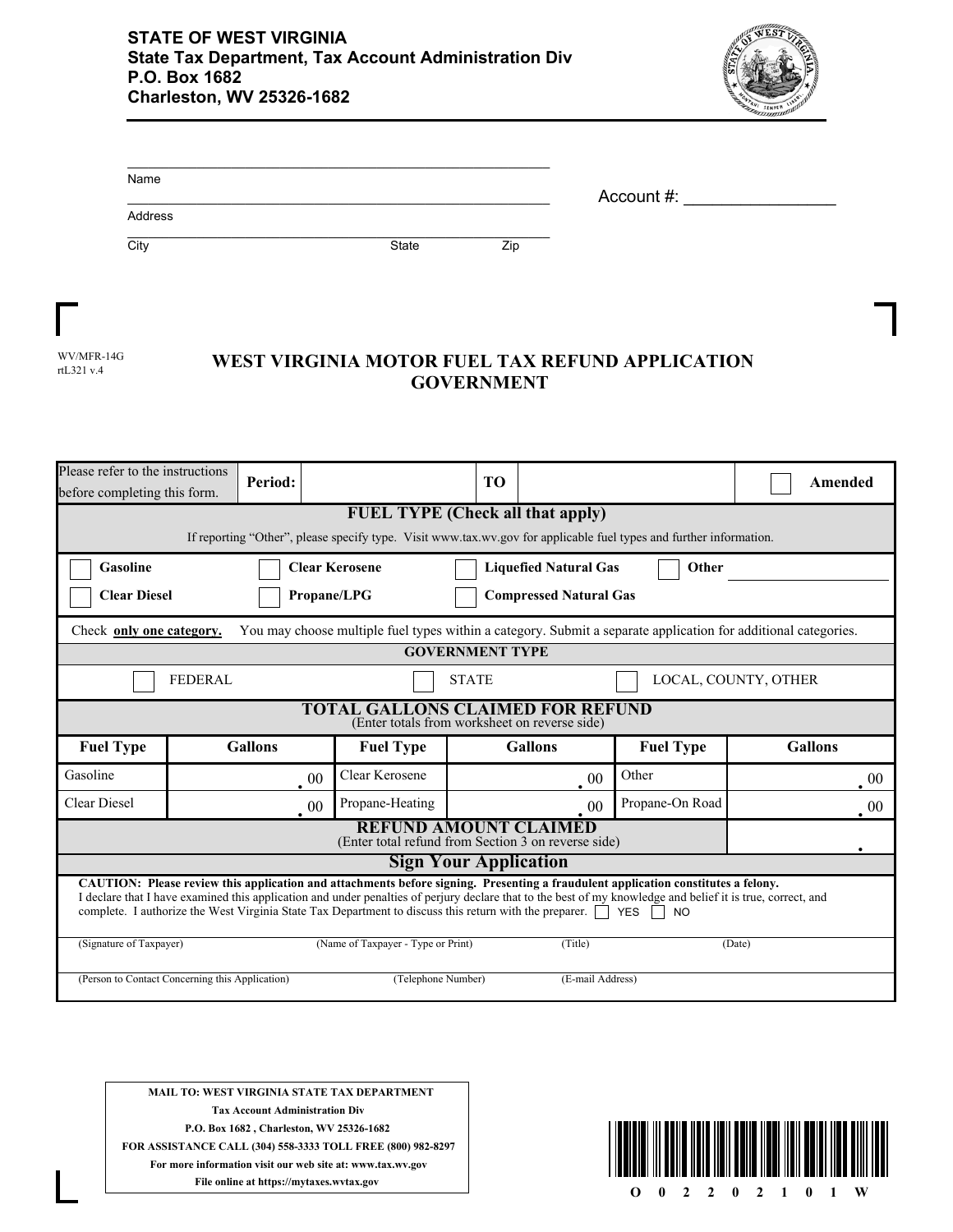

| Name    |              | Account #: |  |
|---------|--------------|------------|--|
| Address |              |            |  |
| City    | <b>State</b> | Zip        |  |

| WV/MFR-14G |
|------------|
| rtL321 v.4 |

## WEST VIRGINIA MOTOR FUEL TAX REFUND APPLICATION **GOVERNMENT**

| Please refer to the instructions<br>before completing this form.                                                                                                                                                                                                                                                                                                                                                                                 |                                                                | Period:        |        |                  | TO |                |                                                                                                                    |  | Amended        |
|--------------------------------------------------------------------------------------------------------------------------------------------------------------------------------------------------------------------------------------------------------------------------------------------------------------------------------------------------------------------------------------------------------------------------------------------------|----------------------------------------------------------------|----------------|--------|------------------|----|----------------|--------------------------------------------------------------------------------------------------------------------|--|----------------|
|                                                                                                                                                                                                                                                                                                                                                                                                                                                  | <b>FUEL TYPE (Check all that apply)</b>                        |                |        |                  |    |                |                                                                                                                    |  |                |
|                                                                                                                                                                                                                                                                                                                                                                                                                                                  |                                                                |                |        |                  |    |                | If reporting "Other", please specify type. Visit www.tax.wv.gov for applicable fuel types and further information. |  |                |
| Gasoline                                                                                                                                                                                                                                                                                                                                                                                                                                         | <b>Clear Kerosene</b><br><b>Liquefied Natural Gas</b><br>Other |                |        |                  |    |                |                                                                                                                    |  |                |
| <b>Clear Diesel</b><br>Propane/LPG<br><b>Compressed Natural Gas</b>                                                                                                                                                                                                                                                                                                                                                                              |                                                                |                |        |                  |    |                |                                                                                                                    |  |                |
| You may choose multiple fuel types within a category. Submit a separate application for additional categories.<br>Check only one category.                                                                                                                                                                                                                                                                                                       |                                                                |                |        |                  |    |                |                                                                                                                    |  |                |
|                                                                                                                                                                                                                                                                                                                                                                                                                                                  | <b>GOVERNMENT TYPE</b>                                         |                |        |                  |    |                |                                                                                                                    |  |                |
|                                                                                                                                                                                                                                                                                                                                                                                                                                                  | <b>FEDERAL</b><br>LOCAL, COUNTY, OTHER<br><b>STATE</b>         |                |        |                  |    |                |                                                                                                                    |  |                |
| TOTAL GALLONS CLAIMED FOR REFUND<br>(Enter totals from worksheet on reverse side)                                                                                                                                                                                                                                                                                                                                                                |                                                                |                |        |                  |    |                |                                                                                                                    |  |                |
| <b>Fuel Type</b>                                                                                                                                                                                                                                                                                                                                                                                                                                 |                                                                | <b>Gallons</b> |        | <b>Fuel Type</b> |    | <b>Gallons</b> | <b>Fuel Type</b>                                                                                                   |  | <b>Gallons</b> |
| Gasoline                                                                                                                                                                                                                                                                                                                                                                                                                                         |                                                                |                | $00\,$ | Clear Kerosene   |    | 00             | Other                                                                                                              |  | 00             |
| <b>Clear Diesel</b>                                                                                                                                                                                                                                                                                                                                                                                                                              |                                                                |                | 00     | Propane-Heating  |    | 00             | Propane-On Road                                                                                                    |  | 00             |
| <b>REFUND AMOUNT CLAIMED</b><br>(Enter total refund from Section 3 on reverse side)                                                                                                                                                                                                                                                                                                                                                              |                                                                |                |        |                  |    |                |                                                                                                                    |  |                |
| <b>Sign Your Application</b>                                                                                                                                                                                                                                                                                                                                                                                                                     |                                                                |                |        |                  |    |                |                                                                                                                    |  |                |
| CAUTION: Please review this application and attachments before signing. Presenting a fraudulent application constitutes a felony.<br>I declare that I have examined this application and under penalties of perjury declare that to the best of my knowledge and belief it is true, correct, and<br>complete. I authorize the West Virginia State Tax Department to discuss this return with the preparer.<br>YES<br><b>NO</b><br>$\blacksquare$ |                                                                |                |        |                  |    |                |                                                                                                                    |  |                |
| (Name of Taxpayer - Type or Print)<br>(Signature of Taxpayer)<br>(Title)<br>(Date)                                                                                                                                                                                                                                                                                                                                                               |                                                                |                |        |                  |    |                |                                                                                                                    |  |                |
| (Person to Contact Concerning this Application)<br>(Telephone Number)<br>(E-mail Address)                                                                                                                                                                                                                                                                                                                                                        |                                                                |                |        |                  |    |                |                                                                                                                    |  |                |

**MAIL TO: WEST VIRGINIA STATE TAX DEPARTMENT Tax Account Administration Div P.O. Box 1682 , Charleston, WV 25326-1682 FOR ASSISTANCE CALL (304) 558-3333 TOLL FREE (800) 982-8297 For more information visit our web site at: www.tax.wv.gov File online at https://mytaxes.wvtax.gov**